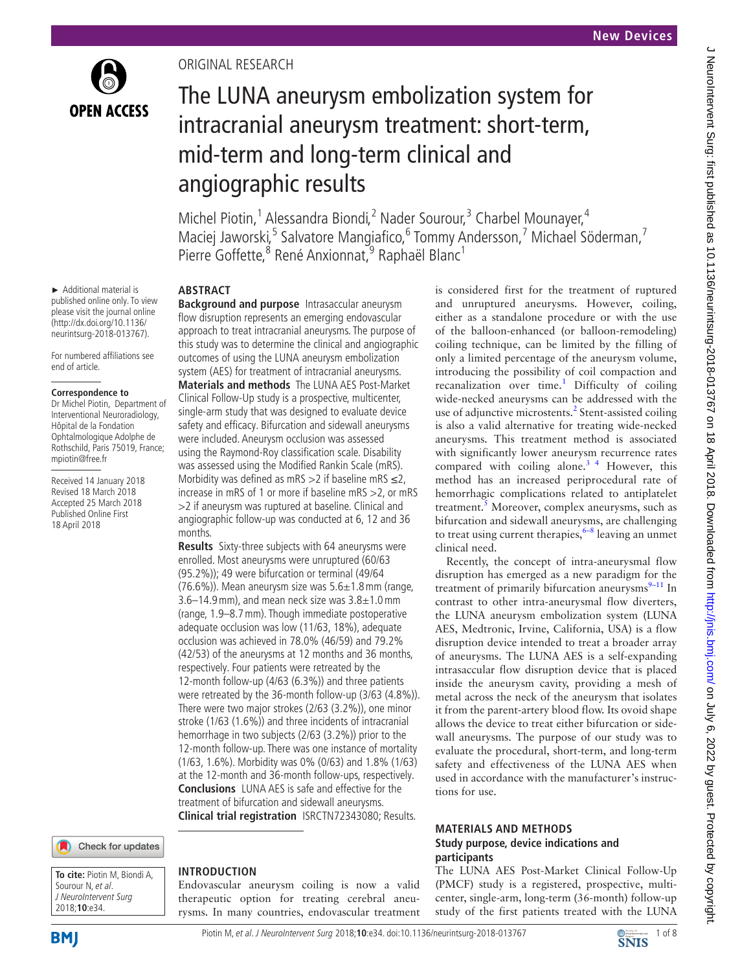

Original research

**ABSTRACT**

months.

angiographic results

The LUNA aneurysm embolization system for

intracranial aneurysm treatment: short-term,

Michel Piotin,<sup>1</sup> Alessandra Biondi,<sup>2</sup> Nader Sourour,<sup>3</sup> Charbel Mounayer,<sup>4</sup>

Maciej Jaworski,<sup>5</sup> Salvatore Mangiafico,<sup>6</sup> Tommy Andersson,<sup>7</sup> Michael Söderman,<sup>7</sup>

mid-term and long-term clinical and

Pierre Goffette, <sup>8</sup> René Anxionnat, <sup>9</sup> Raphaël Blanc<sup>1</sup>

**Background and purpose** Intrasaccular aneurysm flow disruption represents an emerging endovascular approach to treat intracranial aneurysms. The purpose of this study was to determine the clinical and angiographic outcomes of using the LUNA aneurysm embolization system (AES) for treatment of intracranial aneurysms. **Materials and methods** The LUNA AES Post-Market Clinical Follow-Up study is a prospective, multicenter, single-arm study that was designed to evaluate device safety and efficacy. Bifurcation and sidewall aneurysms were included. Aneurysm occlusion was assessed using the Raymond-Roy classification scale. Disability was assessed using the Modified Rankin Scale (mRS). Morbidity was defined as mRS  $>$ 2 if baseline mRS  $\leq$ 2, increase in mRS of 1 or more if baseline mRS >2, or mRS >2 if aneurysm was ruptured at baseline. Clinical and angiographic follow-up was conducted at 6, 12 and 36

**Results** Sixty-three subjects with 64 aneurysms were enrolled. Most aneurysms were unruptured (60/63 (95.2%)); 49 were bifurcation or terminal (49/64  $(76.6\%)$ ). Mean aneurysm size was  $5.6\pm1.8$  mm (range, 3.6–14.9 mm), and mean neck size was  $3.8\pm1.0$  mm (range, 1.9–8.7mm). Though immediate postoperative adequate occlusion was low (11/63, 18%), adequate occlusion was achieved in 78.0% (46/59) and 79.2% (42/53) of the aneurysms at 12 months and 36 months, respectively. Four patients were retreated by the 12-month follow-up (4/63 (6.3%)) and three patients were retreated by the 36-month follow-up (3/63 (4.8%)). There were two major strokes (2/63 (3.2%)), one minor stroke (1/63 (1.6%)) and three incidents of intracranial hemorrhage in two subjects (2/63 (3.2%)) prior to the 12-month follow-up. There was one instance of mortality (1/63, 1.6%). Morbidity was 0% (0/63) and 1.8% (1/63) at the 12-month and 36-month follow-ups, respectively. **Conclusions** LUNA AES is safe and effective for the treatment of bifurcation and sidewall aneurysms. **Clinical trial registration** IS[RCTN72343080](ISRCTN72343080); Results.

► Additional material is published online only. To view please visit the journal online (http://dx.doi.org/10.1136/ neurintsurg-2018-013767).

For numbered affiliations see end of article.

### **Correspondence to**

Dr Michel Piotin, Department of Interventional Neuroradiology, Hôpital de la Fondation Ophtalmologique Adolphe de Rothschild, Paris 75019, France; mpiotin@free.fr

Received 14 January 2018 Revised 18 March 2018 Accepted 25 March 2018 Published Online First 18 April 2018



**To cite:** Piotin M, Biondi A, Sourour N, et al. J NeuroIntervent Surg 2018;**10**:e34.

# **Introduction**

Endovascular aneurysm coiling is now a valid therapeutic option for treating cerebral aneurysms. In many countries, endovascular treatment is considered first for the treatment of ruptured and unruptured aneurysms. However, coiling, either as a standalone procedure or with the use of the balloon-enhanced (or balloon-remodeling) coiling technique, can be limited by the filling of only a limited percentage of the aneurysm volume, introducing the possibility of coil compaction and recanalization over time.<sup>[1](#page-6-0)</sup> Difficulty of coiling wide-necked aneurysms can be addressed with the use of adjunctive microstents.<sup>[2](#page-7-0)</sup> Stent-assisted coiling is also a valid alternative for treating wide-necked aneurysms. This treatment method is associated with significantly lower aneurysm recurrence rates compared with coiling alone. $3<sup>4</sup>$  However, this method has an increased periprocedural rate of hemorrhagic complications related to antiplatelet treatment.<sup>[5](#page-7-2)</sup> Moreover, complex aneurysms, such as bifurcation and sidewall aneurysms, are challenging to treat using current therapies,  $6-8$  leaving an unmet clinical need.

Recently, the concept of intra-aneurysmal flow disruption has emerged as a new paradigm for the treatment of primarily bifurcation aneurysms $9-11$  In contrast to other intra-aneurysmal flow diverters, the LUNA aneurysm embolization system (LUNA AES, Medtronic, Irvine, California, USA) is a flow disruption device intended to treat a broader array of aneurysms. The LUNA AES is a self-expanding intrasaccular flow disruption device that is placed inside the aneurysm cavity, providing a mesh of metal across the neck of the aneurysm that isolates it from the parent-artery blood flow. Its ovoid shape allows the device to treat either bifurcation or sidewall aneurysms. The purpose of our study was to evaluate the procedural, short-term, and long-term safety and effectiveness of the LUNA AES when used in accordance with the manufacturer's instructions for use.

# **Materials and methods Study purpose, device indications and participants**

The LUNA AES Post-Market Clinical Follow-Up (PMCF) study is a registered, prospective, multicenter, single-arm, long-term (36-month) follow-up study of the first patients treated with the LUNA

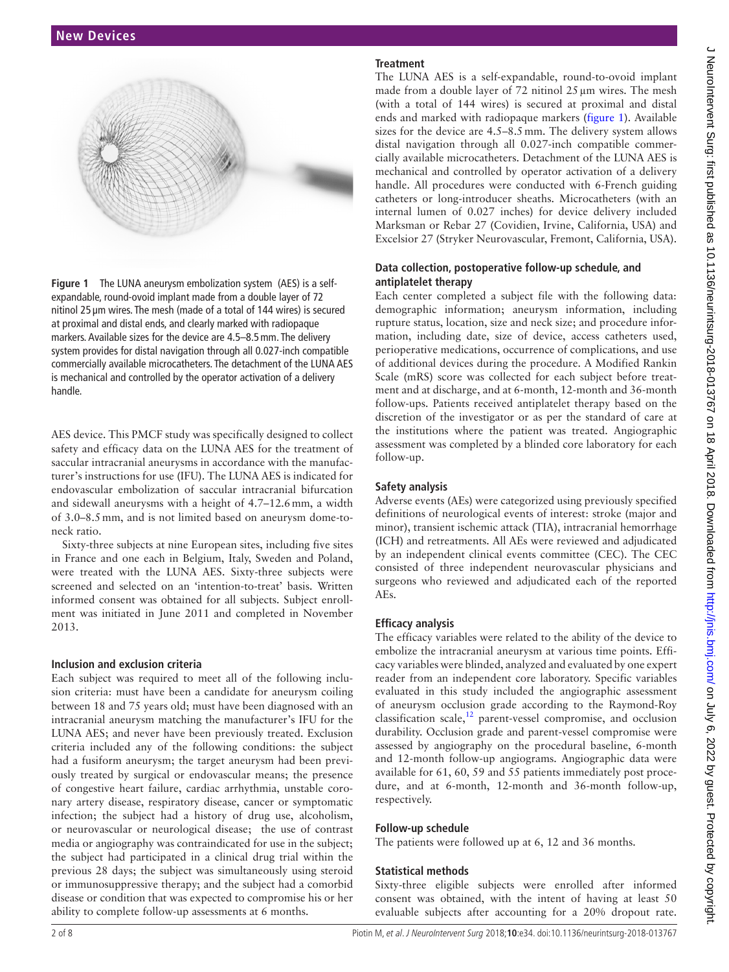

<span id="page-1-0"></span>**Figure 1** The LUNA aneurysm embolization system (AES) is a selfexpandable, round-ovoid implant made from a double layer of 72 nitinol 25 µm wires. The mesh (made of a total of 144 wires) is secured at proximal and distal ends, and clearly marked with radiopaque markers. Available sizes for the device are 4.5–8.5mm. The delivery system provides for distal navigation through all 0.027-inch compatible commercially available microcatheters. The detachment of the LUNA AES is mechanical and controlled by the operator activation of a delivery handle.

AES device. This PMCF study was specifically designed to collect safety and efficacy data on the LUNA AES for the treatment of saccular intracranial aneurysms in accordance with the manufacturer's instructions for use (IFU). The LUNA AES is indicated for endovascular embolization of saccular intracranial bifurcation and sidewall aneurysms with a height of 4.7–12.6mm, a width of 3.0–8.5mm, and is not limited based on aneurysm dome-toneck ratio.

Sixty-three subjects at nine European sites, including five sites in France and one each in Belgium, Italy, Sweden and Poland, were treated with the LUNA AES. Sixty-three subjects were screened and selected on an 'intention-to-treat' basis. Written informed consent was obtained for all subjects. Subject enrollment was initiated in June 2011 and completed in November 2013.

### **Inclusion and exclusion criteria**

Each subject was required to meet all of the following inclusion criteria: must have been a candidate for aneurysm coiling between 18 and 75 years old; must have been diagnosed with an intracranial aneurysm matching the manufacturer's IFU for the LUNA AES; and never have been previously treated. Exclusion criteria included any of the following conditions: the subject had a fusiform aneurysm; the target aneurysm had been previously treated by surgical or endovascular means; the presence of congestive heart failure, cardiac arrhythmia, unstable coronary artery disease, respiratory disease, cancer or symptomatic infection; the subject had a history of drug use, alcoholism, or neurovascular or neurological disease; the use of contrast media or angiography was contraindicated for use in the subject; the subject had participated in a clinical drug trial within the previous 28 days; the subject was simultaneously using steroid or immunosuppressive therapy; and the subject had a comorbid disease or condition that was expected to compromise his or her ability to complete follow-up assessments at 6 months.

# **Treatment**

The LUNA AES is a self-expandable, round-to-ovoid implant made from a double layer of  $72$  nitinol  $25 \mu m$  wires. The mesh (with a total of 144 wires) is secured at proximal and distal ends and marked with radiopaque markers ([figure](#page-1-0) 1). Available sizes for the device are 4.5–8.5mm. The delivery system allows distal navigation through all 0.027-inch compatible commercially available microcatheters. Detachment of the LUNA AES is mechanical and controlled by operator activation of a delivery handle. All procedures were conducted with 6-French guiding catheters or long-introducer sheaths. Microcatheters (with an internal lumen of 0.027 inches) for device delivery included Marksman or Rebar 27 (Covidien, Irvine, California, USA) and Excelsior 27 (Stryker Neurovascular, Fremont, California, USA).

# **Data collection, postoperative follow-up schedule, and antiplatelet therapy**

Each center completed a subject file with the following data: demographic information; aneurysm information, including rupture status, location, size and neck size; and procedure information, including date, size of device, access catheters used, perioperative medications, occurrence of complications, and use of additional devices during the procedure. A Modified Rankin Scale (mRS) score was collected for each subject before treatment and at discharge, and at 6-month, 12-month and 36-month follow-ups. Patients received antiplatelet therapy based on the discretion of the investigator or as per the standard of care at the institutions where the patient was treated. Angiographic assessment was completed by a blinded core laboratory for each follow-up.

# **Safety analysis**

Adverse events (AEs) were categorized using previously specified definitions of neurological events of interest: stroke (major and minor), transient ischemic attack (TIA), intracranial hemorrhage (ICH) and retreatments. All AEs were reviewed and adjudicated by an independent clinical events committee (CEC). The CEC consisted of three independent neurovascular physicians and surgeons who reviewed and adjudicated each of the reported AEs.

### **Efficacy analysis**

The efficacy variables were related to the ability of the device to embolize the intracranial aneurysm at various time points. Efficacy variables were blinded, analyzed and evaluated by one expert reader from an independent core laboratory. Specific variables evaluated in this study included the angiographic assessment of aneurysm occlusion grade according to the Raymond-Roy classification scale[,12](#page-7-5) parent-vessel compromise, and occlusion durability. Occlusion grade and parent-vessel compromise were assessed by angiography on the procedural baseline, 6-month and 12-month follow-up angiograms. Angiographic data were available for 61, 60, 59 and 55 patients immediately post procedure, and at 6-month, 12-month and 36-month follow-up, respectively.

### **Follow-up schedule**

The patients were followed up at 6, 12 and 36 months.

### **Statistical methods**

Sixty-three eligible subjects were enrolled after informed consent was obtained, with the intent of having at least 50 evaluable subjects after accounting for a 20% dropout rate.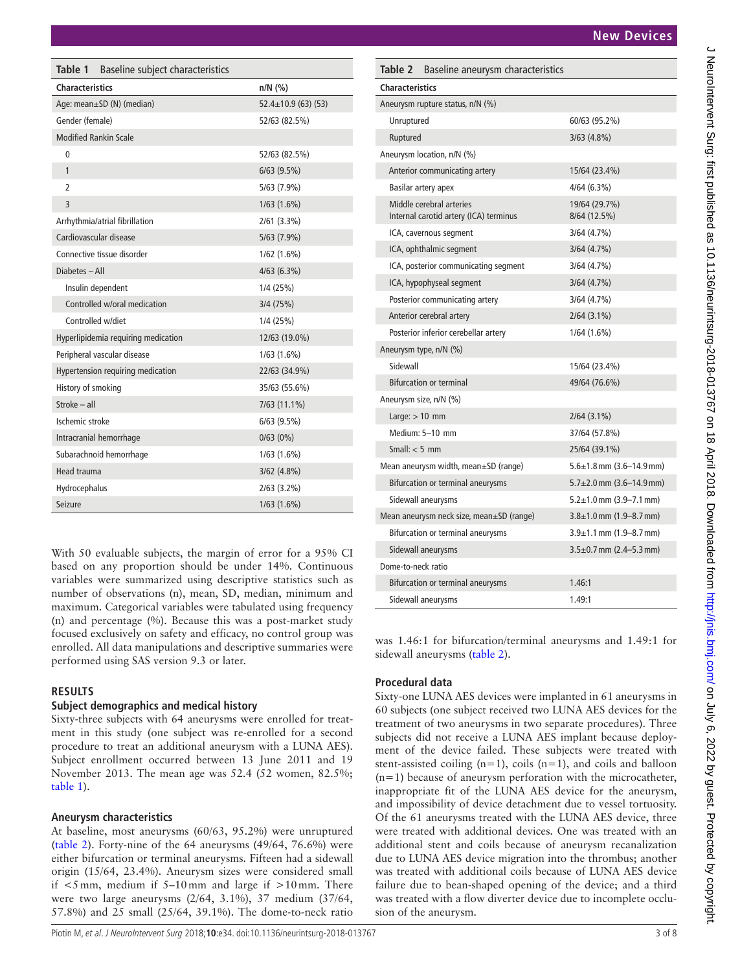<span id="page-2-1"></span>

| Aneurysm rupture status, n/N (%)                                   |                                    |
|--------------------------------------------------------------------|------------------------------------|
| Unruptured                                                         | 60/63 (95.2%)                      |
| Ruptured                                                           | 3/63(4.8%)                         |
| Aneurysm location, n/N (%)                                         |                                    |
| Anterior communicating artery                                      | 15/64 (23.4%)                      |
| Basilar artery apex                                                | 4/64(6.3%)                         |
| Middle cerebral arteries<br>Internal carotid artery (ICA) terminus | 19/64 (29.7%)<br>8/64 (12.5%)      |
| ICA, cavernous segment                                             | 3/64 (4.7%)                        |
| ICA, ophthalmic segment                                            | 3/64 (4.7%)                        |
| ICA, posterior communicating segment                               | 3/64 (4.7%)                        |
| ICA, hypophyseal segment                                           | 3/64(4.7%)                         |
| Posterior communicating artery                                     | 3/64 (4.7%)                        |
| Anterior cerebral artery                                           | $2/64$ (3.1%)                      |
| Posterior inferior cerebellar artery                               | 1/64(1.6%)                         |
| Aneurysm type, n/N (%)                                             |                                    |
| Sidewall                                                           | 15/64 (23.4%)                      |
| <b>Bifurcation or terminal</b>                                     | 49/64 (76.6%)                      |
| Aneurysm size, n/N (%)                                             |                                    |
| Large: $> 10$ mm                                                   | $2/64$ (3.1%)                      |
| Medium: 5-10 mm                                                    | 37/64 (57.8%)                      |
| Small: $<$ 5 mm                                                    | 25/64 (39.1%)                      |
| Mean aneurysm width, mean±SD (range)                               | $5.6 \pm 1.8$ mm $(3.6 - 14.9$ mm) |
| Bifurcation or terminal aneurysms                                  | $5.7\pm2.0$ mm $(3.6-14.9$ mm)     |
| Sidewall aneurysms                                                 | $5.2 \pm 1.0$ mm (3.9–7.1 mm)      |
| Mean aneurysm neck size, mean±SD (range)                           | $3.8 \pm 1.0$ mm $(1.9 - 8.7$ mm)  |
| Bifurcation or terminal aneurysms                                  | $3.9 \pm 1.1$ mm (1.9–8.7 mm)      |
| Sidewall aneurysms                                                 | $3.5\pm0.7$ mm $(2.4-5.3$ mm)      |
| Dome-to-neck ratio                                                 |                                    |
| Bifurcation or terminal aneurysms                                  | 1.46:1                             |
| Sidewall aneurysms                                                 | 1.49:1                             |

**Procedural data**

Sixty-one LUNA AES devices were implanted in 61 aneurysms in 60 subjects (one subject received two LUNA AES devices for the treatment of two aneurysms in two separate procedures). Three subjects did not receive a LUNA AES implant because deployment of the device failed. These subjects were treated with stent-assisted coiling  $(n=1)$ , coils  $(n=1)$ , and coils and balloon (n*=*1) because of aneurysm perforation with the microcatheter, inappropriate fit of the LUNA AES device for the aneurysm, and impossibility of device detachment due to vessel tortuosity. Of the 61 aneurysms treated with the LUNA AES device, three were treated with additional devices. One was treated with an additional stent and coils because of aneurysm recanalization due to LUNA AES device migration into the thrombus; another was treated with additional coils because of LUNA AES device failure due to bean-shaped opening of the device; and a third

# J NeuroIntervent Surg: first published as 10.1136/neurintsurg-2018-013767 on 18 April 2018. Downloaded from <http://jnis.bmj.com/> on July 6, 2022 by guest. Protected by copyright. NeuroIntervent Surg: first published as 10.1136/neurintsurg-2018-013767 on 18 April 2018. Downloaded from http://jnis.bmj.com/ on July 6, 2022 by guest. Protected by copyright

<span id="page-2-0"></span>

| Table 1<br>Baseline subject characteristics |                           |  |  |  |  |
|---------------------------------------------|---------------------------|--|--|--|--|
| <b>Characteristics</b>                      | $n/N$ (%)                 |  |  |  |  |
| Age: mean±SD (N) (median)                   | $52.4 \pm 10.9$ (63) (53) |  |  |  |  |
| Gender (female)                             | 52/63 (82.5%)             |  |  |  |  |
| <b>Modified Rankin Scale</b>                |                           |  |  |  |  |
| 0                                           | 52/63 (82.5%)             |  |  |  |  |
| $\mathbf{1}$                                | $6/63$ (9.5%)             |  |  |  |  |
| $\overline{2}$                              | 5/63 (7.9%)               |  |  |  |  |
| $\overline{3}$                              | $1/63$ $(1.6\%)$          |  |  |  |  |
| Arrhythmia/atrial fibrillation              | $2/61$ (3.3%)             |  |  |  |  |
| Cardiovascular disease                      | 5/63 (7.9%)               |  |  |  |  |
| Connective tissue disorder                  | 1/62 (1.6%)               |  |  |  |  |
| Diabetes - All                              | 4/63(6.3%)                |  |  |  |  |
| Insulin dependent                           | 1/4 (25%)                 |  |  |  |  |
| Controlled w/oral medication                | 3/4 (75%)                 |  |  |  |  |
| Controlled w/diet                           | 1/4 (25%)                 |  |  |  |  |
| Hyperlipidemia requiring medication         | 12/63 (19.0%)             |  |  |  |  |
| Peripheral vascular disease                 | 1/63 (1.6%)               |  |  |  |  |
| Hypertension requiring medication           | 22/63 (34.9%)             |  |  |  |  |
| History of smoking                          | 35/63 (55.6%)             |  |  |  |  |
| Stroke - all                                | 7/63 (11.1%)              |  |  |  |  |
| Ischemic stroke                             | $6/63$ (9.5%)             |  |  |  |  |
| Intracranial hemorrhage                     | 0/63(0%)                  |  |  |  |  |
| Subarachnoid hemorrhage                     | 1/63 (1.6%)               |  |  |  |  |
| Head trauma                                 | $3/62$ $(4.8\%)$          |  |  |  |  |
| Hydrocephalus                               | $2/63$ (3.2%)             |  |  |  |  |
| Seizure                                     | $1/63$ $(1.6\%)$          |  |  |  |  |

With 50 evaluable subjects, the margin of error for a 95% CI based on any proportion should be under 14%. Continuous variables were summarized using descriptive statistics such as number of observations (n), mean, SD, median, minimum and maximum. Categorical variables were tabulated using frequency (n) and percentage (%). Because this was a post-market study focused exclusively on safety and efficacy, no control group was enrolled. All data manipulations and descriptive summaries were performed using SAS version 9.3 or later.

# **Results**

# **Subject demographics and medical history**

Sixty-three subjects with 64 aneurysms were enrolled for treatment in this study (one subject was re-enrolled for a second procedure to treat an additional aneurysm with a LUNA AES). Subject enrollment occurred between 13 June 2011 and 19 November 2013. The mean age was 52.4 (52 women, 82.5%; [table](#page-2-0) 1).

# **Aneurysm characteristics**

At baseline, most aneurysms (60/63, 95.2%) were unruptured ([table](#page-2-1) 2). Forty-nine of the 64 aneurysms (49/64, 76.6%) were either bifurcation or terminal aneurysms. Fifteen had a sidewall origin (15/64, 23.4%). Aneurysm sizes were considered small if  $\leq$ 5 mm, medium if 5–10 mm and large if  $>$ 10 mm. There were two large aneurysms (2/64, 3.1%), 37 medium (37/64, 57.8%) and 25 small (25/64, 39.1%). The dome-to-neck ratio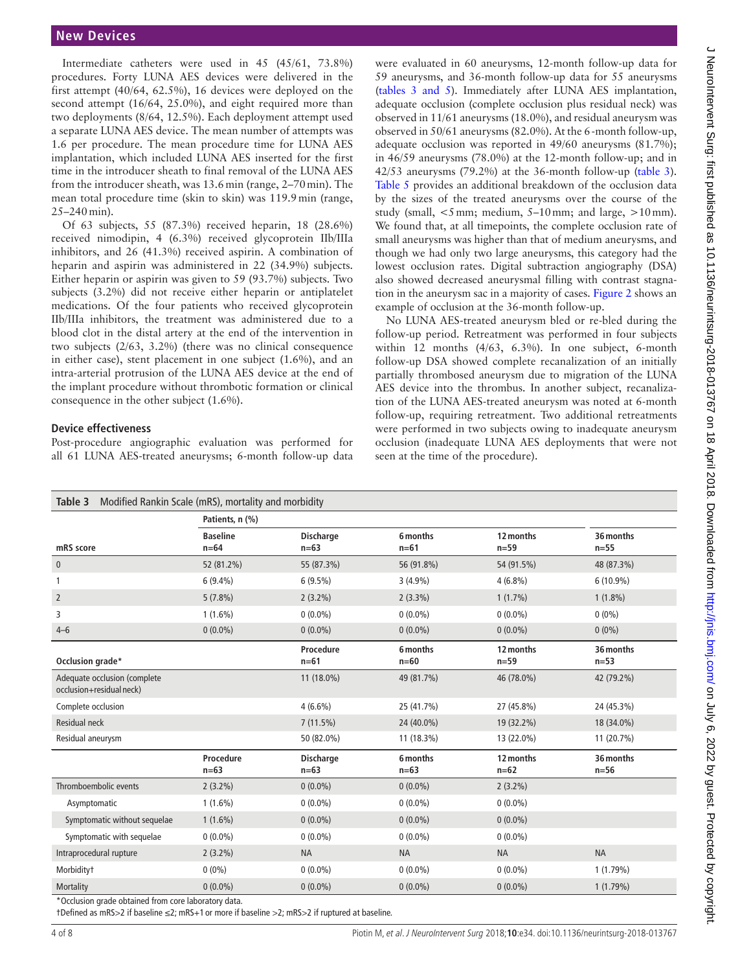Intermediate catheters were used in 45 (45/61, 73.8%) procedures. Forty LUNA AES devices were delivered in the first attempt (40/64, 62.5%), 16 devices were deployed on the second attempt (16/64, 25.0%), and eight required more than two deployments (8/64, 12.5%). Each deployment attempt used a separate LUNA AES device. The mean number of attempts was 1.6 per procedure. The mean procedure time for LUNA AES implantation, which included LUNA AES inserted for the first time in the introducer sheath to final removal of the LUNA AES from the introducer sheath, was 13.6min (range, 2–70min). The mean total procedure time (skin to skin) was 119.9min (range, 25–240min).

Of 63 subjects, 55 (87.3%) received heparin, 18 (28.6%) received nimodipin, 4 (6.3%) received glycoprotein IIb/IIIa inhibitors, and 26 (41.3%) received aspirin. A combination of heparin and aspirin was administered in 22 (34.9%) subjects. Either heparin or aspirin was given to 59 (93.7%) subjects. Two subjects (3.2%) did not receive either heparin or antiplatelet medications. Of the four patients who received glycoprotein IIb/IIIa inhibitors, the treatment was administered due to a blood clot in the distal artery at the end of the intervention in two subjects (2/63, 3.2%) (there was no clinical consequence in either case), stent placement in one subject (1.6%), and an intra-arterial protrusion of the LUNA AES device at the end of the implant procedure without thrombotic formation or clinical consequence in the other subject (1.6%).

# **Device effectiveness**

Post-procedure angiographic evaluation was performed for all 61 LUNA AES-treated aneurysms; 6-month follow-up data

were evaluated in 60 aneurysms, 12-month follow-up data for 59 aneurysms, and 36-month follow-up data for 55 aneurysms (tables 3 and 5). Immediately after LUNA AES implantation, adequate occlusion (complete occlusion plus residual neck) was observed in 11/61 aneurysms (18.0%), and residual aneurysm was observed in 50/61 aneurysms (82.0%). At the 6-month follow-up, adequate occlusion was reported in 49/60 aneurysms (81.7%); in 46/59 aneurysms (78.0%) at the 12-month follow-up; and in 42/53 aneurysms (79.2%) at the 36-month follow-up (table 3). [Table](#page-5-0) 5 provides an additional breakdown of the occlusion data by the sizes of the treated aneurysms over the course of the study (small,  $\leq 5$  mm; medium,  $5-10$  mm; and large,  $>10$  mm). We found that, at all timepoints, the complete occlusion rate of small aneurysms was higher than that of medium aneurysms, and though we had only two large aneurysms, this category had the lowest occlusion rates. Digital subtraction angiography (DSA) also showed decreased aneurysmal filling with contrast stagnation in the aneurysm sac in a majority of cases. [Figure](#page-4-0) 2 shows an example of occlusion at the 36-month follow-up.

No LUNA AES-treated aneurysm bled or re-bled during the follow-up period. Retreatment was performed in four subjects within 12 months (4/63, 6.3%). In one subject, 6-month follow-up DSA showed complete recanalization of an initially partially thrombosed aneurysm due to migration of the LUNA AES device into the thrombus. In another subject, recanalization of the LUNA AES-treated aneurysm was noted at 6-month follow-up, requiring retreatment. Two additional retreatments were performed in two subjects owing to inadequate aneurysm occlusion (inadequate LUNA AES deployments that were not seen at the time of the procedure).

| Modified Rankin Scale (mRS), mortality and morbidity<br>Table 3  |                     |                            |                    |                     |                     |  |  |
|------------------------------------------------------------------|---------------------|----------------------------|--------------------|---------------------|---------------------|--|--|
|                                                                  | Patients, n (%)     |                            |                    |                     |                     |  |  |
|                                                                  | <b>Baseline</b>     | <b>Discharge</b>           | 6 months           | 12 months           | 36 months           |  |  |
| mRS score                                                        | $n=64$              | $n=63$                     | $n = 61$           | $n=59$              | $n=55$              |  |  |
| $\mathbf{0}$                                                     | 52 (81.2%)          | 55 (87.3%)                 | 56 (91.8%)         | 54 (91.5%)          | 48 (87.3%)          |  |  |
| $\mathbf{1}$                                                     | $6(9.4\%)$          | $6(9.5\%)$                 | $3(4.9\%)$         | $4(6.8\%)$          | $6(10.9\%)$         |  |  |
| $\overline{2}$                                                   | $5(7.8\%)$          | $2(3.2\%)$                 | $2(3.3\%)$         | $1(1.7\%)$          | $1(1.8\%)$          |  |  |
| 3                                                                | $1(1.6\%)$          | $0(0.0\%)$                 | $0(0.0\%)$         | $0(0.0\%)$          | $0(0\%)$            |  |  |
| $4 - 6$                                                          | $0(0.0\%)$          | $0(0.0\%)$                 | $0(0.0\%)$         | $0(0.0\%)$          | $0(0\%)$            |  |  |
| Occlusion grade*                                                 |                     | Procedure<br>$n = 61$      | 6 months<br>$n=60$ | 12 months<br>$n=59$ | 36 months<br>$n=53$ |  |  |
| Adequate occlusion (complete<br>occlusion+residual neck)         |                     | 11 (18.0%)                 | 49 (81.7%)         | 46 (78.0%)          | 42 (79.2%)          |  |  |
| Complete occlusion                                               |                     | $4(6.6\%)$                 | 25 (41.7%)         | 27 (45.8%)          | 24 (45.3%)          |  |  |
| <b>Residual neck</b>                                             |                     | 7(11.5%)                   | 24 (40.0%)         | 19 (32.2%)          | 18 (34.0%)          |  |  |
| Residual aneurysm                                                |                     | 50 (82.0%)                 | 11 (18.3%)         | 13 (22.0%)          | 11 (20.7%)          |  |  |
|                                                                  | Procedure<br>$n=63$ | <b>Discharge</b><br>$n=63$ | 6 months<br>$n=63$ | 12 months<br>$n=62$ | 36 months<br>$n=56$ |  |  |
| Thromboembolic events                                            | $2(3.2\%)$          | $0(0.0\%)$                 | $0(0.0\%)$         | $2(3.2\%)$          |                     |  |  |
| Asymptomatic                                                     | $1(1.6\%)$          | $0(0.0\%)$                 | $0(0.0\%)$         | $0(0.0\%)$          |                     |  |  |
| Symptomatic without sequelae                                     | $1(1.6\%)$          | $0(0.0\%)$                 | $0(0.0\%)$         | $0(0.0\%)$          |                     |  |  |
| Symptomatic with sequelae                                        | $0(0.0\%)$          | $0(0.0\%)$                 | $0(0.0\%)$         | $0(0.0\%)$          |                     |  |  |
| Intraprocedural rupture                                          | $2(3.2\%)$          | <b>NA</b>                  | <b>NA</b>          | <b>NA</b>           | <b>NA</b>           |  |  |
| Morbidity <sup>+</sup>                                           | $0(0\%)$            | $0(0.0\%)$                 | $0(0.0\%)$         | $0(0.0\%)$          | 1(1.79%)            |  |  |
| Mortality<br>*Occlusion arade obtained from sere laboratory data | $0(0.0\%)$          | $0(0.0\%)$                 | $0(0.0\%)$         | $0(0.0\%)$          | 1(1.79%)            |  |  |

\*Occlusion grade obtained from core laboratory data.

†Defined as mRS>2 if baseline ≤2; mRS+1 or more if baseline >2; mRS>2 if ruptured at baseline.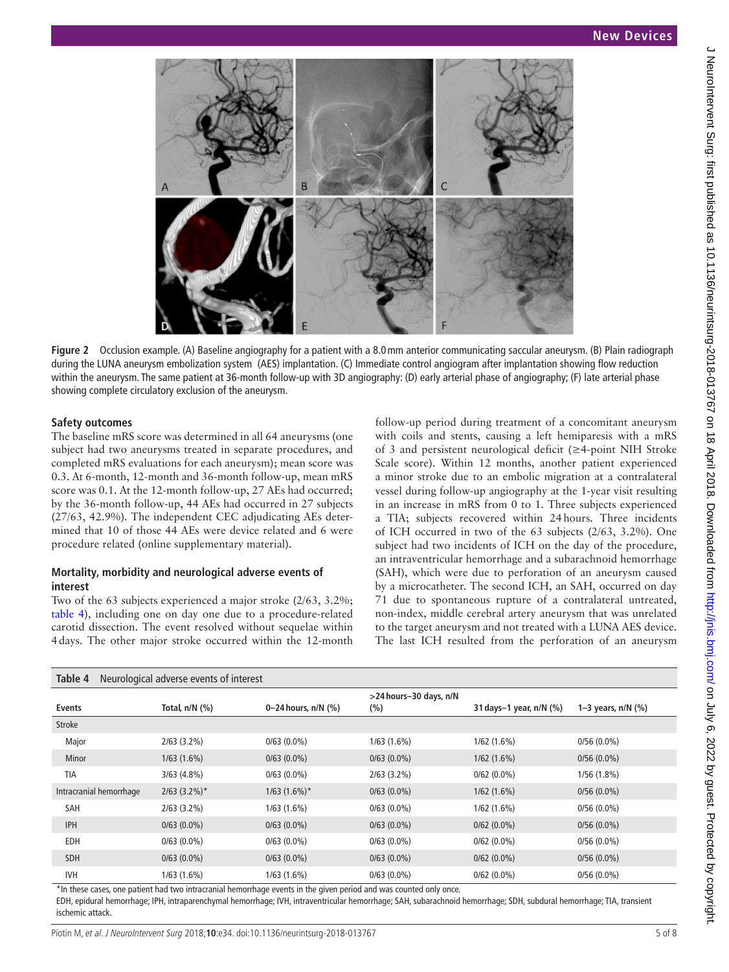

**Figure 2** Occlusion example. (A) Baseline angiography for a patient with a 8.0mm anterior communicating saccular aneurysm. (B) Plain radiograph during the LUNA aneurysm embolization system (AES) implantation. (C) Immediate control angiogram after implantation showing flow reduction within the aneurysm. The same patient at 36-month follow-up with 3D angiography: (D) early arterial phase of angiography; (F) late arterial phase showing complete circulatory exclusion of the aneurysm.

### **Safety outcomes**

The baseline mRS score was determined in all 64 aneurysms (one subject had two aneurysms treated in separate procedures, and completed mRS evaluations for each aneurysm); mean score was 0.3. At 6-month, 12-month and 36-month follow-up, mean mRS score was 0.1. At the 12-month follow-up, 27 AEs had occurred; by the 36-month follow-up, 44 AEs had occurred in 27 subjects (27/63, 42.9%). The independent CEC adjudicating AEs determined that 10 of those 44 AEs were device related and 6 were procedure related (online [supplementary material](https://dx.doi.org/10.1136/neurintsurg-2018-013767)).

### **Mortality, morbidity and neurological adverse events of interest**

Two of the 63 subjects experienced a major stroke (2/63, 3.2%; [table](#page-4-1) 4), including one on day one due to a procedure-related carotid dissection. The event resolved without sequelae within 4days. The other major stroke occurred within the 12-month

<span id="page-4-0"></span>follow-up period during treatment of a concomitant aneurysm with coils and stents, causing a left hemiparesis with a mRS of 3 and persistent neurological deficit (≥4-point NIH Stroke Scale score). Within 12 months, another patient experienced a minor stroke due to an embolic migration at a contralateral vessel during follow-up angiography at the 1-year visit resulting in an increase in mRS from 0 to 1. Three subjects experienced a TIA; subjects recovered within 24hours. Three incidents of ICH occurred in two of the 63 subjects (2/63, 3.2%). One subject had two incidents of ICH on the day of the procedure, an intraventricular hemorrhage and a subarachnoid hemorrhage (SAH), which were due to perforation of an aneurysm caused by a microcatheter. The second ICH, an SAH, occurred on day 71 due to spontaneous rupture of a contralateral untreated, non-index, middle cerebral artery aneurysm that was unrelated to the target aneurysm and not treated with a LUNA AES device. The last ICH resulted from the perforation of an aneurysm

<span id="page-4-1"></span>

| Neurological adverse events of interest<br>Table 4 |                     |                       |                                   |                           |                      |  |  |  |
|----------------------------------------------------|---------------------|-----------------------|-----------------------------------|---------------------------|----------------------|--|--|--|
| <b>Events</b>                                      | Total, $n/N$ $(\%)$ | 0-24 hours, $n/N$ (%) | >24 hours-30 days, n/N<br>$(\% )$ | 31 days-1 year, $n/N$ (%) | 1-3 years, $n/N$ (%) |  |  |  |
| <b>Stroke</b>                                      |                     |                       |                                   |                           |                      |  |  |  |
| Major                                              | $2/63$ (3.2%)       | $0/63$ $(0.0\%)$      | 1/63(1.6%)                        | 1/62(1.6%)                | $0/56(0.0\%)$        |  |  |  |
| <b>Minor</b>                                       | $1/63(1.6\%)$       | $0/63(0.0\%)$         | $0/63$ $(0.0\%)$                  | 1/62(1.6%)                | $0/56(0.0\%)$        |  |  |  |
| TIA                                                | 3/63(4.8%)          | $0/63(0.0\%)$         | $2/63$ $(3.2\%)$                  | $0/62(0.0\%)$             | 1/56(1.8%)           |  |  |  |
| Intracranial hemorrhage                            | $2/63$ (3.2%)*      | $1/63$ (1.6%)*        | $0/63(0.0\%)$                     | 1/62(1.6%)                | $0/56(0.0\%)$        |  |  |  |
| SAH                                                | $2/63$ (3.2%)       | 1/63(1.6%)            | $0/63(0.0\%)$                     | 1/62(1.6%)                | $0/56(0.0\%)$        |  |  |  |
| <b>IPH</b>                                         | $0/63(0.0\%)$       | $0/63$ $(0.0\%)$      | $0/63(0.0\%)$                     | $0/62$ $(0.0\%)$          | $0/56(0.0\%)$        |  |  |  |
| EDH                                                | $0/63$ $(0.0\%)$    | $0/63$ $(0.0\%)$      | $0/63(0.0\%)$                     | $0/62(0.0\%)$             | $0/56(0.0\%)$        |  |  |  |
| <b>SDH</b>                                         | $0/63(0.0\%)$       | $0/63(0.0\%)$         | $0/63(0.0\%)$                     | $0/62(0.0\%)$             | $0/56(0.0\%)$        |  |  |  |
| <b>IVH</b>                                         | $1/63(1.6\%)$       | $1/63$ $(1.6\%)$      | $0/63(0.0\%)$                     | $0/62(0.0\%)$             | $0/56(0.0\%)$        |  |  |  |

\*In these cases, one patient had two intracranial hemorrhage events in the given period and was counted only once.

EDH, epidural hemorrhage; IPH, intraparenchymal hemorrhage; IVH, intraventricular hemorrhage; SAH, subarachnoid hemorrhage; SDH, subdural hemorrhage; TIA, transient ischemic attack.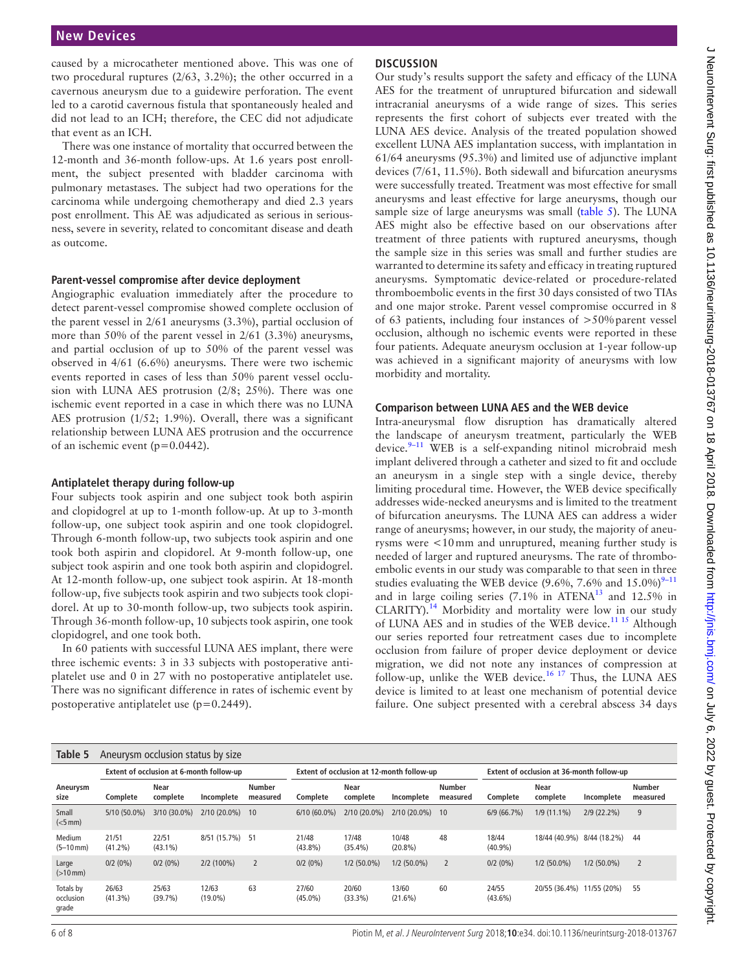caused by a microcatheter mentioned above. This was one of two procedural ruptures (2/63, 3.2%); the other occurred in a cavernous aneurysm due to a guidewire perforation. The event led to a carotid cavernous fistula that spontaneously healed and did not lead to an ICH; therefore, the CEC did not adjudicate that event as an ICH.

There was one instance of mortality that occurred between the 12-month and 36-month follow-ups. At 1.6 years post enrollment, the subject presented with bladder carcinoma with pulmonary metastases. The subject had two operations for the carcinoma while undergoing chemotherapy and died 2.3 years post enrollment. This AE was adjudicated as serious in seriousness, severe in severity, related to concomitant disease and death as outcome.

### **Parent-vessel compromise after device deployment**

Angiographic evaluation immediately after the procedure to detect parent-vessel compromise showed complete occlusion of the parent vessel in 2/61 aneurysms (3.3%), partial occlusion of more than 50% of the parent vessel in 2/61 (3.3%) aneurysms, and partial occlusion of up to 50% of the parent vessel was observed in 4/61 (6.6%) aneurysms. There were two ischemic events reported in cases of less than 50% parent vessel occlusion with LUNA AES protrusion (2/8; 25%). There was one ischemic event reported in a case in which there was no LUNA AES protrusion (1/52; 1.9%). Overall, there was a significant relationship between LUNA AES protrusion and the occurrence of an ischemic event (p=0.0442).

### **Antiplatelet therapy during follow-up**

Four subjects took aspirin and one subject took both aspirin and clopidogrel at up to 1-month follow-up. At up to 3-month follow-up, one subject took aspirin and one took clopidogrel. Through 6-month follow-up, two subjects took aspirin and one took both aspirin and clopidorel. At 9-month follow-up, one subject took aspirin and one took both aspirin and clopidogrel. At 12-month follow-up, one subject took aspirin. At 18-month follow-up, five subjects took aspirin and two subjects took clopidorel. At up to 30-month follow-up, two subjects took aspirin. Through 36-month follow-up, 10 subjects took aspirin, one took clopidogrel, and one took both.

In 60 patients with successful LUNA AES implant, there were three ischemic events: 3 in 33 subjects with postoperative antiplatelet use and 0 in 27 with no postoperative antiplatelet use. There was no significant difference in rates of ischemic event by postoperative antiplatelet use (p=0.2449).

# **Discussion**

Our study's results support the safety and efficacy of the LUNA AES for the treatment of unruptured bifurcation and sidewall intracranial aneurysms of a wide range of sizes. This series represents the first cohort of subjects ever treated with the LUNA AES device. Analysis of the treated population showed excellent LUNA AES implantation success, with implantation in 61/64 aneurysms (95.3%) and limited use of adjunctive implant devices (7/61, 11.5%). Both sidewall and bifurcation aneurysms were successfully treated. Treatment was most effective for small aneurysms and least effective for large aneurysms, though our sample size of large aneurysms was small [\(table](#page-5-0) 5). The LUNA AES might also be effective based on our observations after treatment of three patients with ruptured aneurysms, though the sample size in this series was small and further studies are warranted to determine its safety and efficacy in treating ruptured aneurysms. Symptomatic device-related or procedure-related thromboembolic events in the first 30 days consisted of two TIAs and one major stroke. Parent vessel compromise occurred in 8 of 63 patients, including four instances of >50%parent vessel occlusion, although no ischemic events were reported in these four patients. Adequate aneurysm occlusion at 1-year follow-up was achieved in a significant majority of aneurysms with low morbidity and mortality.

### **Comparison between LUNA AES and the WEB device**

Intra-aneurysmal flow disruption has dramatically altered the landscape of aneurysm treatment, particularly the WEB device.<sup>9-11</sup> WEB is a self-expanding nitinol microbraid mesh implant delivered through a catheter and sized to fit and occlude an aneurysm in a single step with a single device, thereby limiting procedural time. However, the WEB device specifically addresses wide-necked aneurysms and is limited to the treatment of bifurcation aneurysms. The LUNA AES can address a wider range of aneurysms; however, in our study, the majority of aneurysms were <10mm and unruptured, meaning further study is needed of larger and ruptured aneurysms. The rate of thromboembolic events in our study was comparable to that seen in three studies evaluating the WEB device  $(9.6\%, 7.6\% \text{ and } 15.0\%)^{9-11}$ and in large coiling series  $(7.1\%$  in ATENA<sup>13</sup> and 12.5% in CLARITY).[14](#page-7-7) Morbidity and mortality were low in our study of LUNA AES and in studies of the WEB device.<sup>[11 15](#page-7-8)</sup> Although our series reported four retreatment cases due to incomplete occlusion from failure of proper device deployment or device migration, we did not note any instances of compression at follow-up, unlike the WEB device.<sup>16 17</sup> Thus, the LUNA AES device is limited to at least one mechanism of potential device failure. One subject presented with a cerebral abscess 34 days

<span id="page-5-0"></span>

| Table 5                         | Aneurysm occlusion status by size        |                     |                     |                           |                                           |                         |                     |                                           |                     |                  |               |                           |
|---------------------------------|------------------------------------------|---------------------|---------------------|---------------------------|-------------------------------------------|-------------------------|---------------------|-------------------------------------------|---------------------|------------------|---------------|---------------------------|
|                                 | Extent of occlusion at 6-month follow-up |                     |                     |                           | Extent of occlusion at 12-month follow-up |                         |                     | Extent of occlusion at 36-month follow-up |                     |                  |               |                           |
| Aneurysm<br>size                | Complete                                 | Near<br>complete    | Incomplete          | <b>Number</b><br>measured | Complete                                  | <b>Near</b><br>complete | Incomplete          | <b>Number</b><br>measured                 | Complete            | Near<br>complete | Incomplete    | <b>Number</b><br>measured |
| Small<br>$(<5$ mm $)$           | 5/10 (50.0%)                             | 3/10 (30.0%)        | $2/10(20.0\%)$      | 10                        | $6/10(60.0\%)$                            | 2/10 (20.0%)            | $2/10(20.0\%)$      | 10                                        | 6/9(66.7%)          | $1/9(11.1\%)$    | $2/9(22.2\%)$ | 9                         |
| Medium<br>$(5-10$ mm)           | 21/51<br>$(41.2\%)$                      | 22/51<br>$(43.1\%)$ | 8/51 (15.7%) 51     |                           | 21/48<br>$(43.8\%)$                       | 17/48<br>$(35.4\%)$     | 10/48<br>$(20.8\%)$ | 48                                        | 18/44<br>$(40.9\%)$ | 18/44 (40.9%)    | 8/44 (18.2%)  | 44                        |
| Large<br>$(>10$ mm)             | $0/2(0\%)$                               | $0/2(0\%)$          | $2/2(100\%)$        | $\overline{2}$            | $0/2(0\%)$                                | $1/2$ (50.0%)           | $1/2$ (50.0%)       | $\overline{2}$                            | $0/2(0\%)$          | $1/2$ (50.0%)    | $1/2$ (50.0%) |                           |
| Totals by<br>occlusion<br>grade | 26/63<br>$(41.3\%)$                      | 25/63<br>(39.7%)    | 12/63<br>$(19.0\%)$ | 63                        | 27/60<br>$(45.0\%)$                       | 20/60<br>(33.3%)        | 13/60<br>$(21.6\%)$ | 60                                        | 24/55<br>$(43.6\%)$ | 20/55 (36.4%)    | 11/55 (20%)   | 55                        |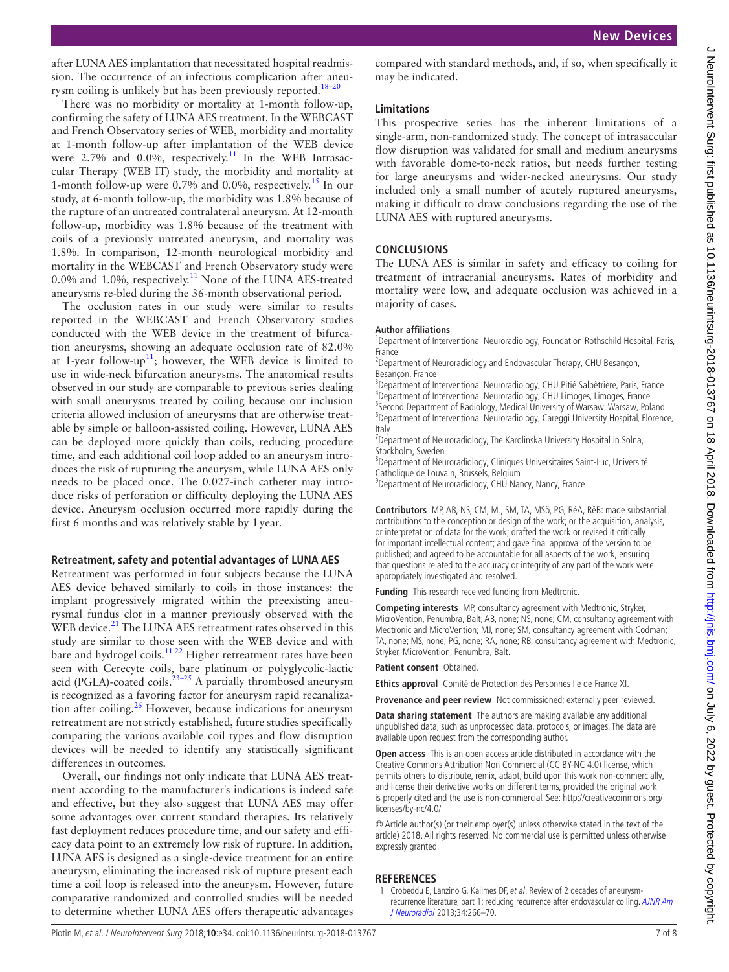after LUNA AES implantation that necessitated hospital readmission. The occurrence of an infectious complication after aneurysm coiling is unlikely but has been previously reported.<sup>18–20</sup>

There was no morbidity or mortality at 1-month follow-up, confirming the safety of LUNA AES treatment. In the WEBCAST and French Observatory series of WEB, morbidity and mortality at 1-month follow-up after implantation of the WEB device were 2.7% and  $0.0\%$ , respectively.<sup>[11](#page-7-8)</sup> In the WEB Intrasaccular Therapy (WEB IT) study, the morbidity and mortality at 1-month follow-up were 0.7% and 0.0%, respectively.[15](#page-7-11) In our study, at 6-month follow-up, the morbidity was 1.8% because of the rupture of an untreated contralateral aneurysm. At 12-month follow-up, morbidity was 1.8% because of the treatment with coils of a previously untreated aneurysm, and mortality was 1.8%. In comparison, 12-month neurological morbidity and mortality in the WEBCAST and French Observatory study were 0.0% and 1.0%, respectively[.11](#page-7-8) None of the LUNA AES-treated aneurysms re-bled during the 36-month observational period.

The occlusion rates in our study were similar to results reported in the WEBCAST and French Observatory studies conducted with the WEB device in the treatment of bifurcation aneurysms, showing an adequate occlusion rate of 82.0% at 1-year follow-up<sup>11</sup>; however, the WEB device is limited to use in wide-neck bifurcation aneurysms. The anatomical results observed in our study are comparable to previous series dealing with small aneurysms treated by coiling because our inclusion criteria allowed inclusion of aneurysms that are otherwise treatable by simple or balloon-assisted coiling. However, LUNA AES can be deployed more quickly than coils, reducing procedure time, and each additional coil loop added to an aneurysm introduces the risk of rupturing the aneurysm, while LUNA AES only needs to be placed once. The 0.027-inch catheter may introduce risks of perforation or difficulty deploying the LUNA AES device. Aneurysm occlusion occurred more rapidly during the first 6 months and was relatively stable by 1year.

### **Retreatment, safety and potential advantages of LUNA AES**

Retreatment was performed in four subjects because the LUNA AES device behaved similarly to coils in those instances: the implant progressively migrated within the preexisting aneurysmal fundus clot in a manner previously observed with the WEB device.<sup>[21](#page-7-12)</sup> The LUNA AES retreatment rates observed in this study are similar to those seen with the WEB device and with bare and hydrogel coils.<sup>11 22</sup> Higher retreatment rates have been seen with Cerecyte coils, bare platinum or polyglycolic-lactic acid (PGLA)-coated coils. $23-25$  A partially thrombosed aneurysm is recognized as a favoring factor for aneurysm rapid recanaliza-tion after coiling.<sup>[26](#page-7-14)</sup> However, because indications for aneurysm retreatment are not strictly established, future studies specifically comparing the various available coil types and flow disruption devices will be needed to identify any statistically significant differences in outcomes.

Overall, our findings not only indicate that LUNA AES treatment according to the manufacturer's indications is indeed safe and effective, but they also suggest that LUNA AES may offer some advantages over current standard therapies. Its relatively fast deployment reduces procedure time, and our safety and efficacy data point to an extremely low risk of rupture. In addition, LUNA AES is designed as a single-device treatment for an entire aneurysm, eliminating the increased risk of rupture present each time a coil loop is released into the aneurysm. However, future comparative randomized and controlled studies will be needed to determine whether LUNA AES offers therapeutic advantages

compared with standard methods, and, if so, when specifically it may be indicated.

### **Limitations**

This prospective series has the inherent limitations of a single-arm, non-randomized study. The concept of intrasaccular flow disruption was validated for small and medium aneurysms with favorable dome-to-neck ratios, but needs further testing for large aneurysms and wider-necked aneurysms. Our study included only a small number of acutely ruptured aneurysms, making it difficult to draw conclusions regarding the use of the LUNA AES with ruptured aneurysms.

# **Conclusions**

The LUNA AES is similar in safety and efficacy to coiling for treatment of intracranial aneurysms. Rates of morbidity and mortality were low, and adequate occlusion was achieved in a majority of cases.

### **Author affiliations**

<sup>1</sup>Department of Interventional Neuroradiology, Foundation Rothschild Hospital, Paris, France

<sup>2</sup> Department of Neuroradiology and Endovascular Therapy, CHU Besançon, Besancon, France

<sup>3</sup>Department of Interventional Neuroradiology, CHU Pitié Salpêtrière, Paris, France <sup>4</sup>Department of Interventional Neuroradiology, CHU Limoges, Limoges, France <sup>5</sup>Second Department of Radiology, Medical University of Warsaw, Warsaw, Poland Department of Interventional Neuroradiology, Careggi University Hospital, Florence, Italy

<sup>7</sup>Department of Neuroradiology, The Karolinska University Hospital in Solna, Stockholm, Sweden

<sup>8</sup>Department of Neuroradiology, Cliniques Universitaires Saint-Luc, Université Catholique de Louvain, Brussels, Belgium

<sup>9</sup>Department of Neuroradiology, CHU Nancy, Nancy, France

**Contributors** MP, AB, NS, CM, MJ, SM, TA, MSö, PG, RéA, RëB: made substantial contributions to the conception or design of the work; or the acquisition, analysis, or interpretation of data for the work; drafted the work or revised it critically for important intellectual content; and gave final approval of the version to be published; and agreed to be accountable for all aspects of the work, ensuring that questions related to the accuracy or integrity of any part of the work were appropriately investigated and resolved.

**Funding** This research received funding from Medtronic.

**Competing interests** MP, consultancy agreement with Medtronic, Stryker, MicroVention, Penumbra, Balt; AB, none; NS, none; CM, consultancy agreement with Medtronic and MicroVention; MJ, none; SM, consultancy agreement with Codman; TA, none; MS, none; PG, none; RA, none; RB, consultancy agreement with Medtronic, Stryker, MicroVention, Penumbra, Balt.

**Patient consent** Obtained.

**Ethics approval** Comité de Protection des Personnes Ile de France XI.

**Provenance and peer review** Not commissioned; externally peer reviewed.

**Data sharing statement** The authors are making available any additional unpublished data, such as unprocessed data, protocols, or images. The data are available upon request from the corresponding author.

**Open access** This is an open access article distributed in accordance with the Creative Commons Attribution Non Commercial (CC BY-NC 4.0) license, which permits others to distribute, remix, adapt, build upon this work non-commercially, and license their derivative works on different terms, provided the original work is properly cited and the use is non-commercial. See: [http://creativecommons.org/](http://creativecommons.org/licenses/by-nc/4.0/) [licenses/by-nc/4.0/](http://creativecommons.org/licenses/by-nc/4.0/)

© Article author(s) (or their employer(s) unless otherwise stated in the text of the article) 2018. All rights reserved. No commercial use is permitted unless otherwise expressly granted.

# **References**

<span id="page-6-0"></span>1 Crobeddu E, Lanzino G, Kallmes DF, et al. Review of 2 decades of aneurysmrecurrence literature, part 1: reducing recurrence after endovascular coiling. [AJNR Am](http://dx.doi.org/10.3174/ajnr.A3032)  [J Neuroradiol](http://dx.doi.org/10.3174/ajnr.A3032) 2013;34:266–70.